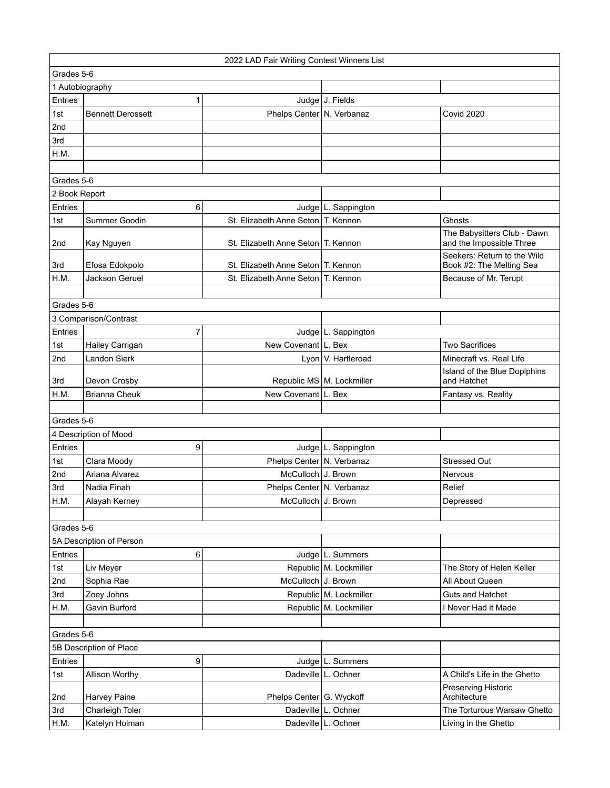|                 |                          | 2022 LAD Fair Writing Contest Winners List |                             |                                                         |
|-----------------|--------------------------|--------------------------------------------|-----------------------------|---------------------------------------------------------|
|                 | Grades 5-6               |                                            |                             |                                                         |
| 1 Autobiography |                          |                                            |                             |                                                         |
| <b>Entries</b>  | 1                        |                                            | Judge J. Fields             |                                                         |
| 1st             | <b>Bennett Derossett</b> | Phelps Center   N. Verbanaz                |                             | Covid 2020                                              |
| 2nd             |                          |                                            |                             |                                                         |
| 3rd             |                          |                                            |                             |                                                         |
| H.M.            |                          |                                            |                             |                                                         |
|                 |                          |                                            |                             |                                                         |
| Grades 5-6      |                          |                                            |                             |                                                         |
| 2 Book Report   |                          |                                            |                             |                                                         |
| <b>Entries</b>  | 6                        |                                            | Judge   L. Sappington       |                                                         |
| 1st             | Summer Goodin            | St. Elizabeth Anne Seton   T. Kennon       |                             | Ghosts                                                  |
|                 |                          |                                            |                             | The Babysitters Club - Dawn                             |
| 2nd             | Kay Nguyen               | St. Elizabeth Anne Seton   T. Kennon       |                             | and the Impossible Three                                |
| 3rd             | Efosa Edokpolo           | St. Elizabeth Anne Seton   T. Kennon       |                             | Seekers: Return to the Wild<br>Book #2: The Melting Sea |
| H.M.            | Jackson Geruel           | St. Elizabeth Anne Seton   T. Kennon       |                             | Because of Mr. Terupt                                   |
|                 |                          |                                            |                             |                                                         |
| Grades 5-6      |                          |                                            |                             |                                                         |
|                 | 3 Comparison/Contrast    |                                            |                             |                                                         |
| Entries         | $\overline{7}$           |                                            | Judge   L. Sappington       |                                                         |
| 1st             | Hailey Carrigan          | New Covenant L. Bex                        |                             | <b>Two Sacrifices</b>                                   |
| 2nd             | <b>Landon Sierk</b>      |                                            | Lyon V. Hartleroad          | Minecraft vs. Real Life                                 |
| 3rd             | Devon Crosby             |                                            | Republic MS   M. Lockmiller | Island of the Blue Doplphins<br>and Hatchet             |
| H.M.            | <b>Brianna Cheuk</b>     | New Covenant L. Bex                        |                             | Fantasy vs. Reality                                     |
|                 |                          |                                            |                             |                                                         |
| Grades 5-6      |                          |                                            |                             |                                                         |
|                 | 4 Description of Mood    |                                            |                             |                                                         |
| Entries         | 9                        |                                            | Judge L. Sappington         |                                                         |
| 1st             | Clara Moody              | Phelps Center   N. Verbanaz                |                             | <b>Stressed Out</b>                                     |
| 2nd             | Ariana Alvarez           | McCulloch J. Brown                         |                             | Nervous                                                 |
| 3rd             | Nadia Finah              | Phelps Center N. Verbanaz                  |                             | Relief                                                  |
| H.M.            | Alayah Kerney            | McCulloch J. Brown                         |                             | Depressed                                               |
|                 |                          |                                            |                             |                                                         |
| Grades 5-6      |                          |                                            |                             |                                                         |
|                 | 5A Description of Person |                                            |                             |                                                         |
| Entries         | 6                        |                                            | Judge L. Summers            |                                                         |
| 1st             | Liv Meyer                |                                            | Republic M. Lockmiller      | The Story of Helen Keller                               |
| 2nd             | Sophia Rae               | McCulloch J. Brown                         |                             | All About Queen                                         |
| 3rd             | Zoey Johns               |                                            | Republic M. Lockmiller      | Guts and Hatchet                                        |
| H.M.            | Gavin Burford            |                                            | Republic M. Lockmiller      | I Never Had it Made                                     |
|                 |                          |                                            |                             |                                                         |
| Grades 5-6      |                          |                                            |                             |                                                         |
|                 | 5B Description of Place  |                                            |                             |                                                         |
| Entries         | 9                        |                                            | Judge   L. Summers          |                                                         |
| 1st             | Allison Worthy           |                                            | Dadeville L. Ochner         | A Child's Life in the Ghetto                            |
|                 | Harvey Paine             | Phelps Center G. Wyckoff                   |                             | Preserving Historic<br>Architecture                     |
| 2nd<br>3rd      | Charleigh Toler          |                                            | Dadeville   L. Ochner       | The Torturous Warsaw Ghetto                             |
|                 |                          |                                            |                             |                                                         |
| H.M.            | Katelyn Holman           |                                            | Dadeville L. Ochner         | Living in the Ghetto                                    |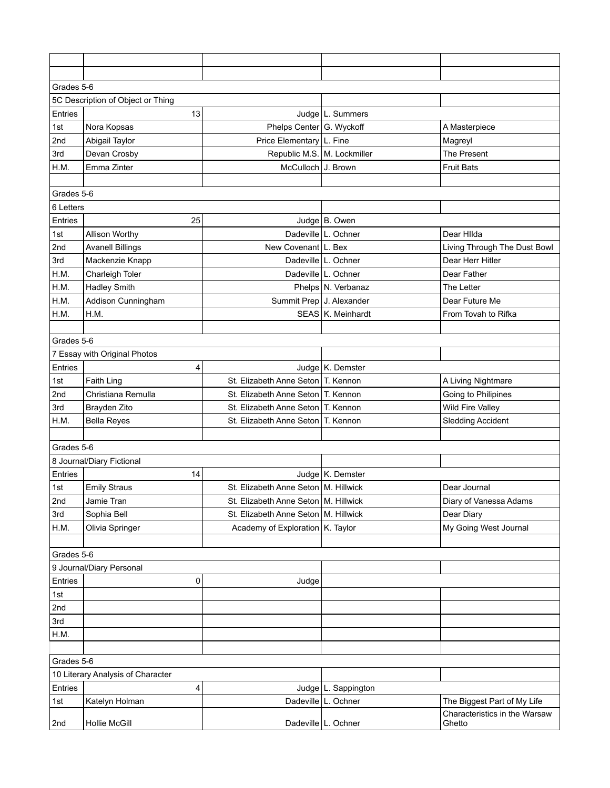| Grades 5-6 |                                   |                                        |                       |                                                              |  |
|------------|-----------------------------------|----------------------------------------|-----------------------|--------------------------------------------------------------|--|
|            | 5C Description of Object or Thing |                                        |                       |                                                              |  |
| Entries    | 13                                |                                        | Judge   L. Summers    |                                                              |  |
| 1st        | Nora Kopsas                       | Phelps Center G. Wyckoff               |                       | A Masterpiece                                                |  |
| 2nd        | Abigail Taylor                    | Price Elementary   L. Fine             |                       | Magreyl                                                      |  |
| 3rd        | Devan Crosby                      | Republic M.S. M. Lockmiller            |                       | The Present                                                  |  |
| H.M.       | Emma Zinter                       | McCulloch J. Brown                     |                       | <b>Fruit Bats</b>                                            |  |
|            |                                   |                                        |                       |                                                              |  |
| Grades 5-6 |                                   |                                        |                       |                                                              |  |
| 6 Letters  |                                   |                                        |                       |                                                              |  |
| Entries    | 25                                |                                        | Judge B. Owen         |                                                              |  |
| 1st        | Allison Worthy                    |                                        | Dadeville L. Ochner   | Dear Hilda                                                   |  |
| 2nd        | <b>Avanell Billings</b>           | New Covenant   L. Bex                  |                       | Living Through The Dust Bowl                                 |  |
| 3rd        | Mackenzie Knapp                   |                                        | Dadeville   L. Ochner | Dear Herr Hitler                                             |  |
| H.M.       | Charleigh Toler                   |                                        | Dadeville   L. Ochner | Dear Father                                                  |  |
| H.M.       | <b>Hadley Smith</b>               |                                        | Phelps N. Verbanaz    | The Letter                                                   |  |
| H.M.       | Addison Cunningham                | Summit Prep J. Alexander               |                       | Dear Future Me                                               |  |
| H.M.       | H.M.                              |                                        | SEAS K. Meinhardt     | From Tovah to Rifka                                          |  |
|            |                                   |                                        |                       |                                                              |  |
|            | Grades 5-6                        |                                        |                       |                                                              |  |
|            | 7 Essay with Original Photos      |                                        |                       |                                                              |  |
| Entries    | 4                                 |                                        | Judge K. Demster      |                                                              |  |
| 1st        | Faith Ling                        | St. Elizabeth Anne Seton T. Kennon     |                       | A Living Nightmare                                           |  |
| 2nd        | Christiana Remulla                | St. Elizabeth Anne Seton   T. Kennon   |                       | Going to Philipines                                          |  |
| 3rd        | Brayden Zito                      | St. Elizabeth Anne Seton T. Kennon     |                       | Wild Fire Valley                                             |  |
| H.M.       | <b>Bella Reyes</b>                | St. Elizabeth Anne Seton   T. Kennon   |                       | <b>Sledding Accident</b>                                     |  |
|            |                                   |                                        |                       |                                                              |  |
| Grades 5-6 |                                   |                                        |                       |                                                              |  |
|            | 8 Journal/Diary Fictional         |                                        |                       |                                                              |  |
| Entries    | 14                                |                                        | Judge K. Demster      |                                                              |  |
| 1st        | <b>Emily Straus</b>               | St. Elizabeth Anne Seton   M. Hillwick |                       | Dear Journal                                                 |  |
| 2nd        | Jamie Tran                        | St. Elizabeth Anne Seton   M. Hillwick |                       | Diary of Vanessa Adams                                       |  |
| 3rd        | Sophia Bell                       | St. Elizabeth Anne Seton M. Hillwick   |                       | Dear Diary                                                   |  |
| H.M.       | Olivia Springer                   | Academy of Exploration K. Taylor       |                       | My Going West Journal                                        |  |
|            |                                   |                                        |                       |                                                              |  |
| Grades 5-6 |                                   |                                        |                       |                                                              |  |
|            | 9 Journal/Diary Personal          |                                        |                       |                                                              |  |
| Entries    | 0                                 | Judge                                  |                       |                                                              |  |
| 1st        |                                   |                                        |                       |                                                              |  |
| 2nd        |                                   |                                        |                       |                                                              |  |
| 3rd        |                                   |                                        |                       |                                                              |  |
| H.M.       |                                   |                                        |                       |                                                              |  |
|            |                                   |                                        |                       |                                                              |  |
| Grades 5-6 |                                   |                                        |                       |                                                              |  |
|            | 10 Literary Analysis of Character |                                        |                       |                                                              |  |
| Entries    | 4                                 |                                        | Judge   L. Sappington |                                                              |  |
| 1st        | Katelyn Holman                    |                                        | Dadeville L. Ochner   | The Biggest Part of My Life<br>Characteristics in the Warsaw |  |
| 2nd        | Hollie McGill                     |                                        | Dadeville L. Ochner   | Ghetto                                                       |  |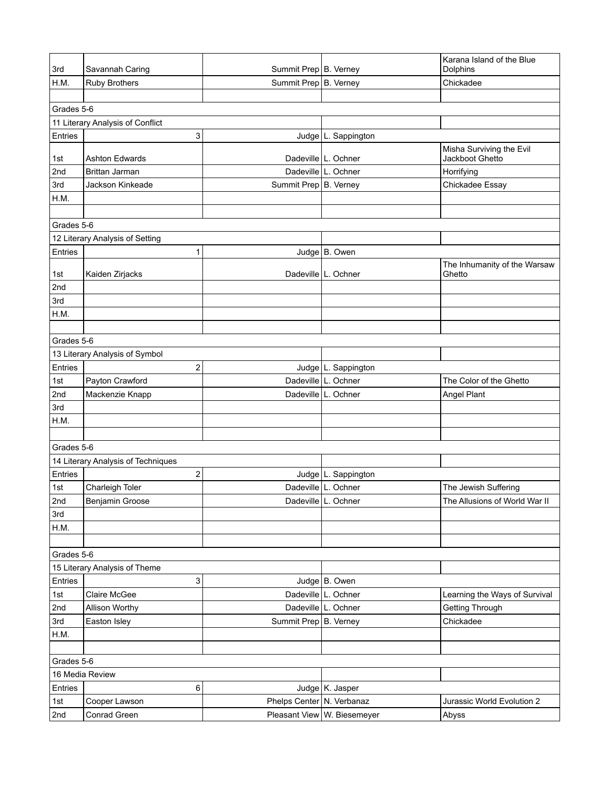| 3rd        | Savannah Caring                    | Summit Prep B. Verney     |                             | Karana Island of the Blue<br>Dolphins  |  |
|------------|------------------------------------|---------------------------|-----------------------------|----------------------------------------|--|
| H.M.       | <b>Ruby Brothers</b>               | Summit Prep B. Verney     |                             | Chickadee                              |  |
|            |                                    |                           |                             |                                        |  |
| Grades 5-6 |                                    |                           |                             |                                        |  |
|            | 11 Literary Analysis of Conflict   |                           |                             |                                        |  |
| Entries    | 3                                  |                           | Judge   L. Sappington       |                                        |  |
|            |                                    |                           |                             | Misha Surviving the Evil               |  |
| 1st        | <b>Ashton Edwards</b>              |                           | Dadeville   L. Ochner       | Jackboot Ghetto                        |  |
| 2nd        | Brittan Jarman                     |                           | Dadeville L. Ochner         | Horrifying                             |  |
| 3rd        | Jackson Kinkeade                   | Summit Prep B. Verney     |                             | Chickadee Essay                        |  |
| H.M.       |                                    |                           |                             |                                        |  |
|            |                                    |                           |                             |                                        |  |
| Grades 5-6 |                                    |                           |                             |                                        |  |
|            | 12 Literary Analysis of Setting    |                           |                             |                                        |  |
| Entries    | 1                                  |                           | Judge   B. Owen             |                                        |  |
| 1st        | Kaiden Zirjacks                    |                           | Dadeville   L. Ochner       | The Inhumanity of the Warsaw<br>Ghetto |  |
| 2nd        |                                    |                           |                             |                                        |  |
| 3rd        |                                    |                           |                             |                                        |  |
| H.M.       |                                    |                           |                             |                                        |  |
|            |                                    |                           |                             |                                        |  |
| Grades 5-6 |                                    |                           |                             |                                        |  |
|            | 13 Literary Analysis of Symbol     |                           |                             |                                        |  |
| Entries    | 2                                  |                           | Judge   L. Sappington       |                                        |  |
| 1st        | Payton Crawford                    |                           | Dadeville   L. Ochner       | The Color of the Ghetto                |  |
| 2nd        | Mackenzie Knapp                    |                           | Dadeville L. Ochner         | Angel Plant                            |  |
| 3rd        |                                    |                           |                             |                                        |  |
| H.M.       |                                    |                           |                             |                                        |  |
|            |                                    |                           |                             |                                        |  |
| Grades 5-6 |                                    |                           |                             |                                        |  |
|            | 14 Literary Analysis of Techniques |                           |                             |                                        |  |
| Entries    | $\overline{c}$                     |                           | Judge $ L.$ Sappington      |                                        |  |
| 1st        | Charleigh Toler                    |                           | Dadeville L. Ochner         | The Jewish Suffering                   |  |
| 2nd        | Benjamin Groose                    |                           | Dadeville L. Ochner         | The Allusions of World War II          |  |
| 3rd        |                                    |                           |                             |                                        |  |
| H.M.       |                                    |                           |                             |                                        |  |
|            |                                    |                           |                             |                                        |  |
| Grades 5-6 |                                    |                           |                             |                                        |  |
|            | 15 Literary Analysis of Theme      |                           |                             |                                        |  |
| Entries    | 3                                  |                           | Judge B. Owen               |                                        |  |
| 1st        | Claire McGee                       |                           | Dadeville L. Ochner         | Learning the Ways of Survival          |  |
| 2nd        | Allison Worthy                     |                           | Dadeville L. Ochner         | Getting Through                        |  |
| 3rd        | Easton Isley                       | Summit Prep B. Verney     |                             | Chickadee                              |  |
| H.M.       |                                    |                           |                             |                                        |  |
|            |                                    |                           |                             |                                        |  |
|            | Grades 5-6                         |                           |                             |                                        |  |
|            | 16 Media Review                    |                           |                             |                                        |  |
| Entries    | 6                                  |                           | Judge K. Jasper             |                                        |  |
| 1st        | Cooper Lawson                      | Phelps Center N. Verbanaz |                             | Jurassic World Evolution 2             |  |
| 2nd        | Conrad Green                       |                           | Pleasant View W. Biesemeyer | Abyss                                  |  |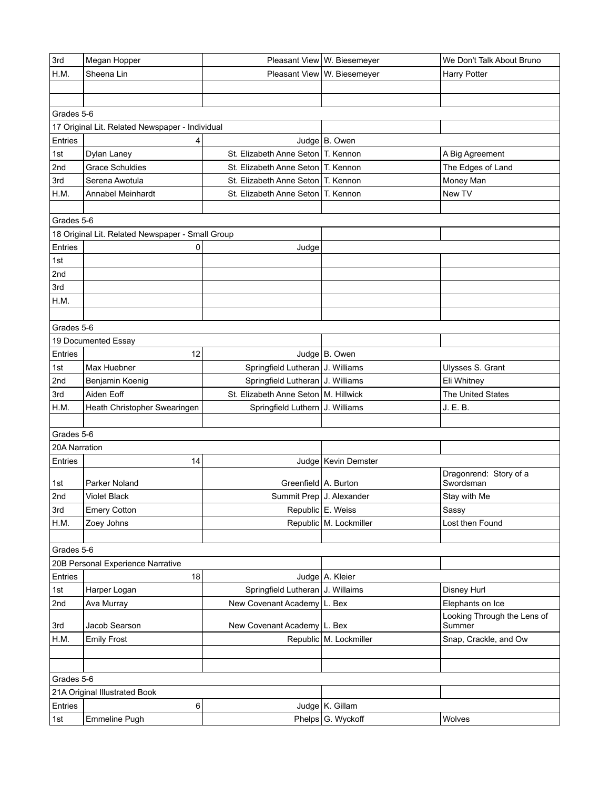| 3rd           | Megan Hopper                                     |                                        | Pleasant View   W. Biesemeyer | We Don't Talk About Bruno             |
|---------------|--------------------------------------------------|----------------------------------------|-------------------------------|---------------------------------------|
| H.M.          | Sheena Lin                                       |                                        | Pleasant View W. Biesemeyer   | <b>Harry Potter</b>                   |
|               |                                                  |                                        |                               |                                       |
|               |                                                  |                                        |                               |                                       |
| Grades 5-6    |                                                  |                                        |                               |                                       |
|               | 17 Original Lit. Related Newspaper - Individual  |                                        |                               |                                       |
| Entries       | 4                                                |                                        | Judge B. Owen                 |                                       |
| 1st           | Dylan Laney                                      | St. Elizabeth Anne Seton T. Kennon     |                               | A Big Agreement                       |
| 2nd           | <b>Grace Schuldies</b>                           | St. Elizabeth Anne Seton T. Kennon     |                               | The Edges of Land                     |
| 3rd           | Serena Awotula                                   | St. Elizabeth Anne Seton T. Kennon     |                               | Money Man                             |
| H.M.          | Annabel Meinhardt                                | St. Elizabeth Anne Seton   T. Kennon   |                               | New TV                                |
|               |                                                  |                                        |                               |                                       |
| Grades 5-6    |                                                  |                                        |                               |                                       |
|               | 18 Original Lit. Related Newspaper - Small Group |                                        |                               |                                       |
| Entries       | 0                                                | Judge                                  |                               |                                       |
| 1st           |                                                  |                                        |                               |                                       |
| 2nd           |                                                  |                                        |                               |                                       |
| 3rd           |                                                  |                                        |                               |                                       |
| H.M.          |                                                  |                                        |                               |                                       |
|               |                                                  |                                        |                               |                                       |
| Grades 5-6    |                                                  |                                        |                               |                                       |
|               | 19 Documented Essay                              |                                        |                               |                                       |
| Entries       | 12                                               |                                        | Judge B. Owen                 |                                       |
| 1st           | Max Huebner                                      | Springfield Lutheran J. Williams       |                               | Ulysses S. Grant                      |
| 2nd           | Benjamin Koenig                                  | Springfield Lutheran   J. Williams     |                               | Eli Whitney                           |
| 3rd           | Aiden Eoff                                       | St. Elizabeth Anne Seton   M. Hillwick |                               | <b>The United States</b>              |
| H.M.          | Heath Christopher Swearingen                     | Springfield Luthern J. Williams        |                               | J. E. B.                              |
|               |                                                  |                                        |                               |                                       |
| Grades 5-6    |                                                  |                                        |                               |                                       |
| 20A Narration |                                                  |                                        |                               |                                       |
| Entries       | 14                                               |                                        | Judge   Kevin Demster         |                                       |
|               |                                                  |                                        |                               | Dragonrend: Story of a                |
| 1st           | Parker Noland                                    | Greenfield A. Burton                   |                               | Swordsman                             |
| 2nd           | <b>Violet Black</b>                              | Summit Prep J. Alexander               |                               | Stay with Me                          |
| 3rd           | <b>Emery Cotton</b>                              |                                        | Republic E. Weiss             | Sassy                                 |
| H.M.          | Zoey Johns                                       |                                        | Republic M. Lockmiller        | Lost then Found                       |
|               |                                                  |                                        |                               |                                       |
| Grades 5-6    |                                                  |                                        |                               |                                       |
|               | 20B Personal Experience Narrative                |                                        |                               |                                       |
| Entries       | 18                                               |                                        | Judge A. Kleier               |                                       |
| 1st           | Harper Logan                                     | Springfield Lutheran J. Willaims       |                               | <b>Disney Hurl</b>                    |
| 2nd           | Ava Murray                                       | New Covenant Academy L. Bex            |                               | Elephants on Ice                      |
| 3rd           | Jacob Searson                                    | New Covenant Academy   L. Bex          |                               | Looking Through the Lens of<br>Summer |
| H.M.          | <b>Emily Frost</b>                               |                                        | Republic M. Lockmiller        | Snap, Crackle, and Ow                 |
|               |                                                  |                                        |                               |                                       |
|               |                                                  |                                        |                               |                                       |
| Grades 5-6    |                                                  |                                        |                               |                                       |
|               | 21A Original Illustrated Book                    |                                        |                               |                                       |
| Entries       | 6                                                |                                        | Judge K. Gillam               |                                       |
| 1st           | Emmeline Pugh                                    |                                        | Phelps G. Wyckoff             | Wolves                                |
|               |                                                  |                                        |                               |                                       |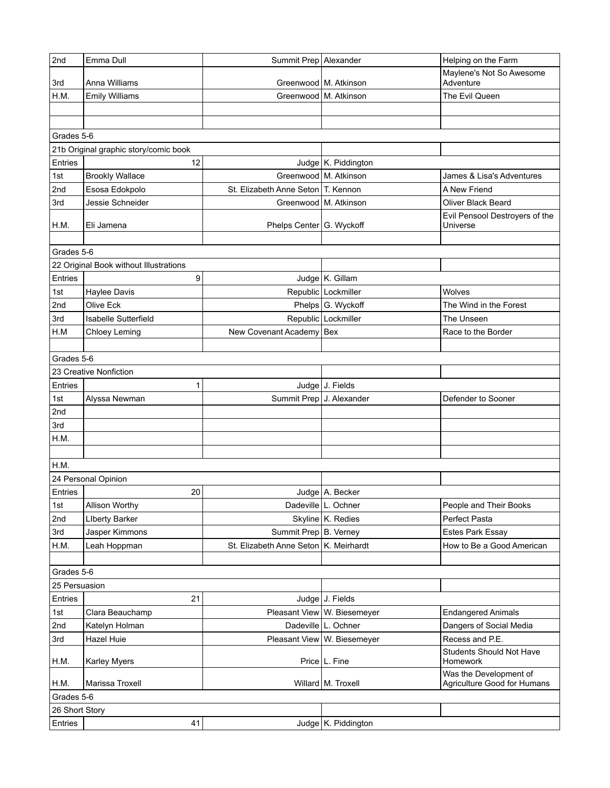| 2nd            | Emma Dull                              | Summit Prep   Alexander                 |                             | Helping on the Farm                   |
|----------------|----------------------------------------|-----------------------------------------|-----------------------------|---------------------------------------|
| 3rd            | Anna Williams                          | Greenwood   M. Atkinson                 |                             | Maylene's Not So Awesome<br>Adventure |
| H.M.           | <b>Emily Williams</b>                  |                                         | Greenwood M. Atkinson       | The Evil Queen                        |
|                |                                        |                                         |                             |                                       |
|                |                                        |                                         |                             |                                       |
| Grades 5-6     |                                        |                                         |                             |                                       |
|                | 21b Original graphic story/comic book  |                                         |                             |                                       |
| Entries        | 12                                     |                                         | Judge K. Piddington         |                                       |
| 1st            | <b>Brookly Wallace</b>                 | Greenwood M. Atkinson                   |                             | James & Lisa's Adventures             |
| 2nd            | Esosa Edokpolo                         | St. Elizabeth Anne Seton   T. Kennon    |                             | A New Friend                          |
| 3rd            | Jessie Schneider                       | Greenwood   M. Atkinson                 |                             | Oliver Black Beard                    |
|                |                                        |                                         |                             | Evil Pensool Destroyers of the        |
| H.M.           | Eli Jamena                             | Phelps Center G. Wyckoff                |                             | Universe                              |
|                |                                        |                                         |                             |                                       |
| Grades 5-6     |                                        |                                         |                             |                                       |
|                | 22 Original Book without Illustrations |                                         |                             |                                       |
| Entries        | 9                                      |                                         | Judge K. Gillam             |                                       |
| 1st            | <b>Haylee Davis</b>                    |                                         | Republic Lockmiller         | Wolves                                |
| 2nd            | Olive Eck                              |                                         | Phelps G. Wyckoff           | The Wind in the Forest                |
| 3rd            | <b>Isabelle Sutterfield</b>            |                                         | Republic Lockmiller         | The Unseen                            |
| H.M            | <b>Chloey Leming</b>                   | New Covenant Academy Bex                |                             | Race to the Border                    |
|                |                                        |                                         |                             |                                       |
| Grades 5-6     |                                        |                                         |                             |                                       |
|                | 23 Creative Nonfiction                 |                                         |                             |                                       |
| Entries        | 1                                      |                                         | Judge J. Fields             |                                       |
| 1st            | Alyssa Newman                          | Summit Prep J. Alexander                |                             | Defender to Sooner                    |
| 2nd            |                                        |                                         |                             |                                       |
| 3rd            |                                        |                                         |                             |                                       |
| H.M.           |                                        |                                         |                             |                                       |
|                |                                        |                                         |                             |                                       |
| H.M.           |                                        |                                         |                             |                                       |
|                | 24 Personal Opinion                    |                                         |                             |                                       |
| Entries        | 20                                     |                                         | Judge A. Becker             |                                       |
| 1st            | Allison Worthy                         |                                         | Dadeville L. Ochner         | People and Their Books                |
| 2nd            | <b>Liberty Barker</b>                  |                                         | Skyline K. Redies           | Perfect Pasta                         |
| 3rd            | Jasper Kimmons                         | Summit Prep B. Verney                   |                             | <b>Estes Park Essay</b>               |
| H.M.           | Leah Hoppman                           | St. Elizabeth Anne Seton   K. Meirhardt |                             | How to Be a Good American             |
|                |                                        |                                         |                             |                                       |
| Grades 5-6     |                                        |                                         |                             |                                       |
| 25 Persuasion  |                                        |                                         |                             |                                       |
| Entries        | 21                                     |                                         | Judge J. Fields             |                                       |
| 1st            | Clara Beauchamp                        |                                         | Pleasant View W. Biesemeyer | <b>Endangered Animals</b>             |
| 2nd            | Katelyn Holman                         |                                         | Dadeville L. Ochner         | Dangers of Social Media               |
| 3rd            | Hazel Huie                             |                                         | Pleasant View W. Biesemeyer | Recess and P.E.                       |
| H.M.           | <b>Karley Myers</b>                    |                                         | Price   L. Fine             | Students Should Not Have<br>Homework  |
|                |                                        |                                         |                             | Was the Development of                |
| H.M.           | Marissa Troxell                        |                                         | Willard M. Troxell          | Agriculture Good for Humans           |
| Grades 5-6     |                                        |                                         |                             |                                       |
| 26 Short Story |                                        |                                         |                             |                                       |
| Entries        | 41                                     |                                         | Judge   K. Piddington       |                                       |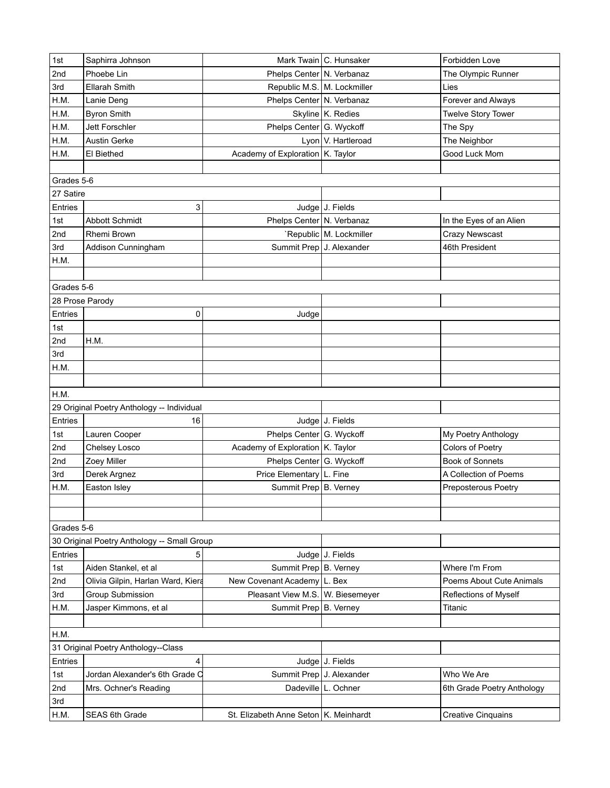| 2nd<br>Phoebe Lin<br>Phelps Center N. Verbanaz<br>The Olympic Runner<br>3rd<br>Republic M.S. M. Lockmiller<br>Ellarah Smith<br>Lies<br>H.M.<br>Phelps Center N. Verbanaz<br>Forever and Always<br>Lanie Deng<br>H.M.<br><b>Byron Smith</b><br>Skyline K. Redies<br><b>Twelve Story Tower</b><br>H.M.<br>Jett Forschler<br>Phelps Center G. Wyckoff<br>The Spy<br>H.M.<br>Lyon V. Hartleroad<br>The Neighbor<br><b>Austin Gerke</b><br>Academy of Exploration K. Taylor<br>H.M.<br>El Biethed<br>Good Luck Mom<br>Grades 5-6<br>27 Satire<br>3<br>Judge J. Fields<br>Entries<br><b>Abbott Schmidt</b><br>Phelps Center N. Verbanaz<br>In the Eyes of an Alien<br>1st<br>`Republic M. Lockmiller<br><b>Crazy Newscast</b><br>2nd<br>Rhemi Brown<br>Summit Prep J. Alexander<br>46th President<br>3rd<br>Addison Cunningham<br>H.M.<br>Grades 5-6<br>28 Prose Parody<br>Entries<br>0<br>Judge<br>1st<br>2nd<br>H.M.<br>3rd<br>H.M.<br>H.M.<br>29 Original Poetry Anthology -- Individual<br>Judge J. Fields<br>Entries<br>16<br>Lauren Cooper<br>Phelps Center G. Wyckoff<br>1st<br>My Poetry Anthology<br>2nd<br>Academy of Exploration   K. Taylor<br>Colors of Poetry<br>Chelsey Losco<br>2nd<br>Phelps Center G. Wyckoff<br><b>Book of Sonnets</b><br>Zoey Miller<br>Price Elementary L. Fine<br>3rd<br>Derek Argnez<br>A Collection of Poems<br>Summit Prep B. Verney<br>H.M.<br>Easton Isley<br>Preposterous Poetry<br>Grades 5-6<br>30 Original Poetry Anthology -- Small Group<br>Judge J. Fields<br><b>Entries</b><br>5<br>Aiden Stankel, et al<br>Summit Prep B. Verney<br>Where I'm From<br>1st<br>Olivia Gilpin, Harlan Ward, Kiera<br>New Covenant Academy L. Bex<br>Poems About Cute Animals<br>2nd<br><b>Group Submission</b><br>Pleasant View M.S. W. Biesemeyer<br>3rd<br>Reflections of Myself<br>H.M.<br>Jasper Kimmons, et al<br>Summit Prep   B. Verney<br>Titanic<br>H.M.<br>31 Original Poetry Anthology--Class<br>Entries<br>Judge J. Fields<br>4<br>Summit Prep J. Alexander<br>Jordan Alexander's 6th Grade O<br>Who We Are<br>1st<br>Dadeville   L. Ochner<br>2nd<br>6th Grade Poetry Anthology<br>Mrs. Ochner's Reading<br>3rd<br>St. Elizabeth Anne Seton   K. Meinhardt | 1st  | Saphirra Johnson | Mark Twain C. Hunsaker | Forbidden Love            |
|----------------------------------------------------------------------------------------------------------------------------------------------------------------------------------------------------------------------------------------------------------------------------------------------------------------------------------------------------------------------------------------------------------------------------------------------------------------------------------------------------------------------------------------------------------------------------------------------------------------------------------------------------------------------------------------------------------------------------------------------------------------------------------------------------------------------------------------------------------------------------------------------------------------------------------------------------------------------------------------------------------------------------------------------------------------------------------------------------------------------------------------------------------------------------------------------------------------------------------------------------------------------------------------------------------------------------------------------------------------------------------------------------------------------------------------------------------------------------------------------------------------------------------------------------------------------------------------------------------------------------------------------------------------------------------------------------------------------------------------------------------------------------------------------------------------------------------------------------------------------------------------------------------------------------------------------------------------------------------------------------------------------------------------------------------------------------------------------------------------------------------------------------------------------------------------------------|------|------------------|------------------------|---------------------------|
|                                                                                                                                                                                                                                                                                                                                                                                                                                                                                                                                                                                                                                                                                                                                                                                                                                                                                                                                                                                                                                                                                                                                                                                                                                                                                                                                                                                                                                                                                                                                                                                                                                                                                                                                                                                                                                                                                                                                                                                                                                                                                                                                                                                                    |      |                  |                        |                           |
|                                                                                                                                                                                                                                                                                                                                                                                                                                                                                                                                                                                                                                                                                                                                                                                                                                                                                                                                                                                                                                                                                                                                                                                                                                                                                                                                                                                                                                                                                                                                                                                                                                                                                                                                                                                                                                                                                                                                                                                                                                                                                                                                                                                                    |      |                  |                        |                           |
|                                                                                                                                                                                                                                                                                                                                                                                                                                                                                                                                                                                                                                                                                                                                                                                                                                                                                                                                                                                                                                                                                                                                                                                                                                                                                                                                                                                                                                                                                                                                                                                                                                                                                                                                                                                                                                                                                                                                                                                                                                                                                                                                                                                                    |      |                  |                        |                           |
|                                                                                                                                                                                                                                                                                                                                                                                                                                                                                                                                                                                                                                                                                                                                                                                                                                                                                                                                                                                                                                                                                                                                                                                                                                                                                                                                                                                                                                                                                                                                                                                                                                                                                                                                                                                                                                                                                                                                                                                                                                                                                                                                                                                                    |      |                  |                        |                           |
|                                                                                                                                                                                                                                                                                                                                                                                                                                                                                                                                                                                                                                                                                                                                                                                                                                                                                                                                                                                                                                                                                                                                                                                                                                                                                                                                                                                                                                                                                                                                                                                                                                                                                                                                                                                                                                                                                                                                                                                                                                                                                                                                                                                                    |      |                  |                        |                           |
|                                                                                                                                                                                                                                                                                                                                                                                                                                                                                                                                                                                                                                                                                                                                                                                                                                                                                                                                                                                                                                                                                                                                                                                                                                                                                                                                                                                                                                                                                                                                                                                                                                                                                                                                                                                                                                                                                                                                                                                                                                                                                                                                                                                                    |      |                  |                        |                           |
|                                                                                                                                                                                                                                                                                                                                                                                                                                                                                                                                                                                                                                                                                                                                                                                                                                                                                                                                                                                                                                                                                                                                                                                                                                                                                                                                                                                                                                                                                                                                                                                                                                                                                                                                                                                                                                                                                                                                                                                                                                                                                                                                                                                                    |      |                  |                        |                           |
|                                                                                                                                                                                                                                                                                                                                                                                                                                                                                                                                                                                                                                                                                                                                                                                                                                                                                                                                                                                                                                                                                                                                                                                                                                                                                                                                                                                                                                                                                                                                                                                                                                                                                                                                                                                                                                                                                                                                                                                                                                                                                                                                                                                                    |      |                  |                        |                           |
|                                                                                                                                                                                                                                                                                                                                                                                                                                                                                                                                                                                                                                                                                                                                                                                                                                                                                                                                                                                                                                                                                                                                                                                                                                                                                                                                                                                                                                                                                                                                                                                                                                                                                                                                                                                                                                                                                                                                                                                                                                                                                                                                                                                                    |      |                  |                        |                           |
|                                                                                                                                                                                                                                                                                                                                                                                                                                                                                                                                                                                                                                                                                                                                                                                                                                                                                                                                                                                                                                                                                                                                                                                                                                                                                                                                                                                                                                                                                                                                                                                                                                                                                                                                                                                                                                                                                                                                                                                                                                                                                                                                                                                                    |      |                  |                        |                           |
|                                                                                                                                                                                                                                                                                                                                                                                                                                                                                                                                                                                                                                                                                                                                                                                                                                                                                                                                                                                                                                                                                                                                                                                                                                                                                                                                                                                                                                                                                                                                                                                                                                                                                                                                                                                                                                                                                                                                                                                                                                                                                                                                                                                                    |      |                  |                        |                           |
|                                                                                                                                                                                                                                                                                                                                                                                                                                                                                                                                                                                                                                                                                                                                                                                                                                                                                                                                                                                                                                                                                                                                                                                                                                                                                                                                                                                                                                                                                                                                                                                                                                                                                                                                                                                                                                                                                                                                                                                                                                                                                                                                                                                                    |      |                  |                        |                           |
|                                                                                                                                                                                                                                                                                                                                                                                                                                                                                                                                                                                                                                                                                                                                                                                                                                                                                                                                                                                                                                                                                                                                                                                                                                                                                                                                                                                                                                                                                                                                                                                                                                                                                                                                                                                                                                                                                                                                                                                                                                                                                                                                                                                                    |      |                  |                        |                           |
|                                                                                                                                                                                                                                                                                                                                                                                                                                                                                                                                                                                                                                                                                                                                                                                                                                                                                                                                                                                                                                                                                                                                                                                                                                                                                                                                                                                                                                                                                                                                                                                                                                                                                                                                                                                                                                                                                                                                                                                                                                                                                                                                                                                                    |      |                  |                        |                           |
|                                                                                                                                                                                                                                                                                                                                                                                                                                                                                                                                                                                                                                                                                                                                                                                                                                                                                                                                                                                                                                                                                                                                                                                                                                                                                                                                                                                                                                                                                                                                                                                                                                                                                                                                                                                                                                                                                                                                                                                                                                                                                                                                                                                                    |      |                  |                        |                           |
|                                                                                                                                                                                                                                                                                                                                                                                                                                                                                                                                                                                                                                                                                                                                                                                                                                                                                                                                                                                                                                                                                                                                                                                                                                                                                                                                                                                                                                                                                                                                                                                                                                                                                                                                                                                                                                                                                                                                                                                                                                                                                                                                                                                                    |      |                  |                        |                           |
|                                                                                                                                                                                                                                                                                                                                                                                                                                                                                                                                                                                                                                                                                                                                                                                                                                                                                                                                                                                                                                                                                                                                                                                                                                                                                                                                                                                                                                                                                                                                                                                                                                                                                                                                                                                                                                                                                                                                                                                                                                                                                                                                                                                                    |      |                  |                        |                           |
|                                                                                                                                                                                                                                                                                                                                                                                                                                                                                                                                                                                                                                                                                                                                                                                                                                                                                                                                                                                                                                                                                                                                                                                                                                                                                                                                                                                                                                                                                                                                                                                                                                                                                                                                                                                                                                                                                                                                                                                                                                                                                                                                                                                                    |      |                  |                        |                           |
|                                                                                                                                                                                                                                                                                                                                                                                                                                                                                                                                                                                                                                                                                                                                                                                                                                                                                                                                                                                                                                                                                                                                                                                                                                                                                                                                                                                                                                                                                                                                                                                                                                                                                                                                                                                                                                                                                                                                                                                                                                                                                                                                                                                                    |      |                  |                        |                           |
|                                                                                                                                                                                                                                                                                                                                                                                                                                                                                                                                                                                                                                                                                                                                                                                                                                                                                                                                                                                                                                                                                                                                                                                                                                                                                                                                                                                                                                                                                                                                                                                                                                                                                                                                                                                                                                                                                                                                                                                                                                                                                                                                                                                                    |      |                  |                        |                           |
|                                                                                                                                                                                                                                                                                                                                                                                                                                                                                                                                                                                                                                                                                                                                                                                                                                                                                                                                                                                                                                                                                                                                                                                                                                                                                                                                                                                                                                                                                                                                                                                                                                                                                                                                                                                                                                                                                                                                                                                                                                                                                                                                                                                                    |      |                  |                        |                           |
|                                                                                                                                                                                                                                                                                                                                                                                                                                                                                                                                                                                                                                                                                                                                                                                                                                                                                                                                                                                                                                                                                                                                                                                                                                                                                                                                                                                                                                                                                                                                                                                                                                                                                                                                                                                                                                                                                                                                                                                                                                                                                                                                                                                                    |      |                  |                        |                           |
|                                                                                                                                                                                                                                                                                                                                                                                                                                                                                                                                                                                                                                                                                                                                                                                                                                                                                                                                                                                                                                                                                                                                                                                                                                                                                                                                                                                                                                                                                                                                                                                                                                                                                                                                                                                                                                                                                                                                                                                                                                                                                                                                                                                                    |      |                  |                        |                           |
|                                                                                                                                                                                                                                                                                                                                                                                                                                                                                                                                                                                                                                                                                                                                                                                                                                                                                                                                                                                                                                                                                                                                                                                                                                                                                                                                                                                                                                                                                                                                                                                                                                                                                                                                                                                                                                                                                                                                                                                                                                                                                                                                                                                                    |      |                  |                        |                           |
|                                                                                                                                                                                                                                                                                                                                                                                                                                                                                                                                                                                                                                                                                                                                                                                                                                                                                                                                                                                                                                                                                                                                                                                                                                                                                                                                                                                                                                                                                                                                                                                                                                                                                                                                                                                                                                                                                                                                                                                                                                                                                                                                                                                                    |      |                  |                        |                           |
|                                                                                                                                                                                                                                                                                                                                                                                                                                                                                                                                                                                                                                                                                                                                                                                                                                                                                                                                                                                                                                                                                                                                                                                                                                                                                                                                                                                                                                                                                                                                                                                                                                                                                                                                                                                                                                                                                                                                                                                                                                                                                                                                                                                                    |      |                  |                        |                           |
|                                                                                                                                                                                                                                                                                                                                                                                                                                                                                                                                                                                                                                                                                                                                                                                                                                                                                                                                                                                                                                                                                                                                                                                                                                                                                                                                                                                                                                                                                                                                                                                                                                                                                                                                                                                                                                                                                                                                                                                                                                                                                                                                                                                                    |      |                  |                        |                           |
|                                                                                                                                                                                                                                                                                                                                                                                                                                                                                                                                                                                                                                                                                                                                                                                                                                                                                                                                                                                                                                                                                                                                                                                                                                                                                                                                                                                                                                                                                                                                                                                                                                                                                                                                                                                                                                                                                                                                                                                                                                                                                                                                                                                                    |      |                  |                        |                           |
|                                                                                                                                                                                                                                                                                                                                                                                                                                                                                                                                                                                                                                                                                                                                                                                                                                                                                                                                                                                                                                                                                                                                                                                                                                                                                                                                                                                                                                                                                                                                                                                                                                                                                                                                                                                                                                                                                                                                                                                                                                                                                                                                                                                                    |      |                  |                        |                           |
|                                                                                                                                                                                                                                                                                                                                                                                                                                                                                                                                                                                                                                                                                                                                                                                                                                                                                                                                                                                                                                                                                                                                                                                                                                                                                                                                                                                                                                                                                                                                                                                                                                                                                                                                                                                                                                                                                                                                                                                                                                                                                                                                                                                                    |      |                  |                        |                           |
|                                                                                                                                                                                                                                                                                                                                                                                                                                                                                                                                                                                                                                                                                                                                                                                                                                                                                                                                                                                                                                                                                                                                                                                                                                                                                                                                                                                                                                                                                                                                                                                                                                                                                                                                                                                                                                                                                                                                                                                                                                                                                                                                                                                                    |      |                  |                        |                           |
|                                                                                                                                                                                                                                                                                                                                                                                                                                                                                                                                                                                                                                                                                                                                                                                                                                                                                                                                                                                                                                                                                                                                                                                                                                                                                                                                                                                                                                                                                                                                                                                                                                                                                                                                                                                                                                                                                                                                                                                                                                                                                                                                                                                                    |      |                  |                        |                           |
|                                                                                                                                                                                                                                                                                                                                                                                                                                                                                                                                                                                                                                                                                                                                                                                                                                                                                                                                                                                                                                                                                                                                                                                                                                                                                                                                                                                                                                                                                                                                                                                                                                                                                                                                                                                                                                                                                                                                                                                                                                                                                                                                                                                                    |      |                  |                        |                           |
|                                                                                                                                                                                                                                                                                                                                                                                                                                                                                                                                                                                                                                                                                                                                                                                                                                                                                                                                                                                                                                                                                                                                                                                                                                                                                                                                                                                                                                                                                                                                                                                                                                                                                                                                                                                                                                                                                                                                                                                                                                                                                                                                                                                                    |      |                  |                        |                           |
|                                                                                                                                                                                                                                                                                                                                                                                                                                                                                                                                                                                                                                                                                                                                                                                                                                                                                                                                                                                                                                                                                                                                                                                                                                                                                                                                                                                                                                                                                                                                                                                                                                                                                                                                                                                                                                                                                                                                                                                                                                                                                                                                                                                                    |      |                  |                        |                           |
|                                                                                                                                                                                                                                                                                                                                                                                                                                                                                                                                                                                                                                                                                                                                                                                                                                                                                                                                                                                                                                                                                                                                                                                                                                                                                                                                                                                                                                                                                                                                                                                                                                                                                                                                                                                                                                                                                                                                                                                                                                                                                                                                                                                                    |      |                  |                        |                           |
|                                                                                                                                                                                                                                                                                                                                                                                                                                                                                                                                                                                                                                                                                                                                                                                                                                                                                                                                                                                                                                                                                                                                                                                                                                                                                                                                                                                                                                                                                                                                                                                                                                                                                                                                                                                                                                                                                                                                                                                                                                                                                                                                                                                                    |      |                  |                        |                           |
|                                                                                                                                                                                                                                                                                                                                                                                                                                                                                                                                                                                                                                                                                                                                                                                                                                                                                                                                                                                                                                                                                                                                                                                                                                                                                                                                                                                                                                                                                                                                                                                                                                                                                                                                                                                                                                                                                                                                                                                                                                                                                                                                                                                                    |      |                  |                        |                           |
|                                                                                                                                                                                                                                                                                                                                                                                                                                                                                                                                                                                                                                                                                                                                                                                                                                                                                                                                                                                                                                                                                                                                                                                                                                                                                                                                                                                                                                                                                                                                                                                                                                                                                                                                                                                                                                                                                                                                                                                                                                                                                                                                                                                                    |      |                  |                        |                           |
|                                                                                                                                                                                                                                                                                                                                                                                                                                                                                                                                                                                                                                                                                                                                                                                                                                                                                                                                                                                                                                                                                                                                                                                                                                                                                                                                                                                                                                                                                                                                                                                                                                                                                                                                                                                                                                                                                                                                                                                                                                                                                                                                                                                                    |      |                  |                        |                           |
|                                                                                                                                                                                                                                                                                                                                                                                                                                                                                                                                                                                                                                                                                                                                                                                                                                                                                                                                                                                                                                                                                                                                                                                                                                                                                                                                                                                                                                                                                                                                                                                                                                                                                                                                                                                                                                                                                                                                                                                                                                                                                                                                                                                                    |      |                  |                        |                           |
|                                                                                                                                                                                                                                                                                                                                                                                                                                                                                                                                                                                                                                                                                                                                                                                                                                                                                                                                                                                                                                                                                                                                                                                                                                                                                                                                                                                                                                                                                                                                                                                                                                                                                                                                                                                                                                                                                                                                                                                                                                                                                                                                                                                                    |      |                  |                        |                           |
|                                                                                                                                                                                                                                                                                                                                                                                                                                                                                                                                                                                                                                                                                                                                                                                                                                                                                                                                                                                                                                                                                                                                                                                                                                                                                                                                                                                                                                                                                                                                                                                                                                                                                                                                                                                                                                                                                                                                                                                                                                                                                                                                                                                                    |      |                  |                        |                           |
|                                                                                                                                                                                                                                                                                                                                                                                                                                                                                                                                                                                                                                                                                                                                                                                                                                                                                                                                                                                                                                                                                                                                                                                                                                                                                                                                                                                                                                                                                                                                                                                                                                                                                                                                                                                                                                                                                                                                                                                                                                                                                                                                                                                                    |      |                  |                        |                           |
|                                                                                                                                                                                                                                                                                                                                                                                                                                                                                                                                                                                                                                                                                                                                                                                                                                                                                                                                                                                                                                                                                                                                                                                                                                                                                                                                                                                                                                                                                                                                                                                                                                                                                                                                                                                                                                                                                                                                                                                                                                                                                                                                                                                                    |      |                  |                        |                           |
|                                                                                                                                                                                                                                                                                                                                                                                                                                                                                                                                                                                                                                                                                                                                                                                                                                                                                                                                                                                                                                                                                                                                                                                                                                                                                                                                                                                                                                                                                                                                                                                                                                                                                                                                                                                                                                                                                                                                                                                                                                                                                                                                                                                                    |      |                  |                        |                           |
|                                                                                                                                                                                                                                                                                                                                                                                                                                                                                                                                                                                                                                                                                                                                                                                                                                                                                                                                                                                                                                                                                                                                                                                                                                                                                                                                                                                                                                                                                                                                                                                                                                                                                                                                                                                                                                                                                                                                                                                                                                                                                                                                                                                                    |      |                  |                        |                           |
|                                                                                                                                                                                                                                                                                                                                                                                                                                                                                                                                                                                                                                                                                                                                                                                                                                                                                                                                                                                                                                                                                                                                                                                                                                                                                                                                                                                                                                                                                                                                                                                                                                                                                                                                                                                                                                                                                                                                                                                                                                                                                                                                                                                                    |      |                  |                        |                           |
|                                                                                                                                                                                                                                                                                                                                                                                                                                                                                                                                                                                                                                                                                                                                                                                                                                                                                                                                                                                                                                                                                                                                                                                                                                                                                                                                                                                                                                                                                                                                                                                                                                                                                                                                                                                                                                                                                                                                                                                                                                                                                                                                                                                                    | H.M. | SEAS 6th Grade   |                        | <b>Creative Cinquains</b> |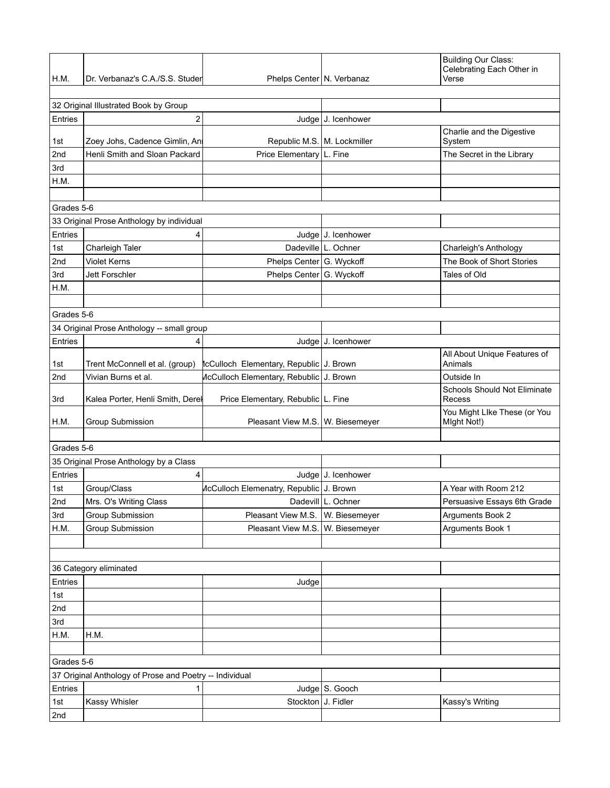| H.M.           | Dr. Verbanaz's C.A./S.S. Studer                         | Phelps Center   N. Verbanaz                   |                     | <b>Building Our Class:</b><br>Celebrating Each Other in<br>Verse |
|----------------|---------------------------------------------------------|-----------------------------------------------|---------------------|------------------------------------------------------------------|
|                |                                                         |                                               |                     |                                                                  |
|                | 32 Original Illustrated Book by Group                   |                                               |                     |                                                                  |
| Entries        | 2                                                       |                                               | Judge J. Icenhower  |                                                                  |
| 1st            | Zoey Johs, Cadence Gimlin, An                           | Republic M.S.   M. Lockmiller                 |                     | Charlie and the Digestive<br>System                              |
| 2nd            | Henli Smith and Sloan Packard                           | Price Elementary   L. Fine                    |                     | The Secret in the Library                                        |
| 3rd            |                                                         |                                               |                     |                                                                  |
| H.M.           |                                                         |                                               |                     |                                                                  |
|                |                                                         |                                               |                     |                                                                  |
| Grades 5-6     |                                                         |                                               |                     |                                                                  |
|                | 33 Original Prose Anthology by individual               |                                               |                     |                                                                  |
| Entries        | 4                                                       |                                               | Judge J. Icenhower  |                                                                  |
| 1st            | Charleigh Taler                                         |                                               | Dadeville L. Ochner | Charleigh's Anthology                                            |
| 2nd            | <b>Violet Kerns</b>                                     | Phelps Center G. Wyckoff                      |                     | The Book of Short Stories                                        |
| 3rd            | Jett Forschler                                          | Phelps Center G. Wyckoff                      |                     | Tales of Old                                                     |
| H.M.           |                                                         |                                               |                     |                                                                  |
|                |                                                         |                                               |                     |                                                                  |
| Grades 5-6     |                                                         |                                               |                     |                                                                  |
|                | 34 Original Prose Anthology -- small group              |                                               |                     |                                                                  |
| Entries        | 4                                                       |                                               | Judge J. Icenhower  |                                                                  |
| 1st            | Trent McConnell et al. (group)                          | <b>CCulloch Elementary, Republic J. Brown</b> |                     | All About Unique Features of<br>Animals                          |
| 2nd            | Vivian Burns et al.                                     | McCulloch Elementary, Rebublic   J. Brown     |                     | Outside In                                                       |
| 3rd            | Kalea Porter, Henli Smith, Derel                        | Price Elementary, Rebublic L. Fine            |                     | Schools Should Not Eliminate<br>Recess                           |
| H.M.           | Group Submission                                        | Pleasant View M.S.   W. Biesemeyer            |                     | You Might LIke These (or You<br>Might Not!)                      |
|                |                                                         |                                               |                     |                                                                  |
| Grades 5-6     |                                                         |                                               |                     |                                                                  |
|                | 35 Original Prose Anthology by a Class                  |                                               |                     |                                                                  |
| <b>Entries</b> | 4                                                       |                                               | Judge J. Icenhower  |                                                                  |
| 1st            | Group/Class                                             | McCulloch Elemenatry, Republic   J. Brown     |                     | A Year with Room 212                                             |
| 2nd            | Mrs. O's Writing Class                                  |                                               | Dadevill L. Ochner  | Persuasive Essays 6th Grade                                      |
| 3rd            | Group Submission                                        | Pleasant View M.S.                            | W. Biesemeyer       | Arguments Book 2                                                 |
| H.M.           | Group Submission                                        | Pleasant View M.S.                            | W. Biesemeyer       | Arguments Book 1                                                 |
|                |                                                         |                                               |                     |                                                                  |
|                |                                                         |                                               |                     |                                                                  |
|                | 36 Category eliminated                                  |                                               |                     |                                                                  |
| Entries        |                                                         | Judge                                         |                     |                                                                  |
| 1st            |                                                         |                                               |                     |                                                                  |
| 2nd            |                                                         |                                               |                     |                                                                  |
| 3rd            |                                                         |                                               |                     |                                                                  |
| H.M.           | H.M.                                                    |                                               |                     |                                                                  |
| Grades 5-6     |                                                         |                                               |                     |                                                                  |
|                | 37 Original Anthology of Prose and Poetry -- Individual |                                               |                     |                                                                  |
| Entries        | 1                                                       |                                               | Judge S. Gooch      |                                                                  |
| 1st            | Kassy Whisler                                           | Stockton J. Fidler                            |                     | Kassy's Writing                                                  |
| 2nd            |                                                         |                                               |                     |                                                                  |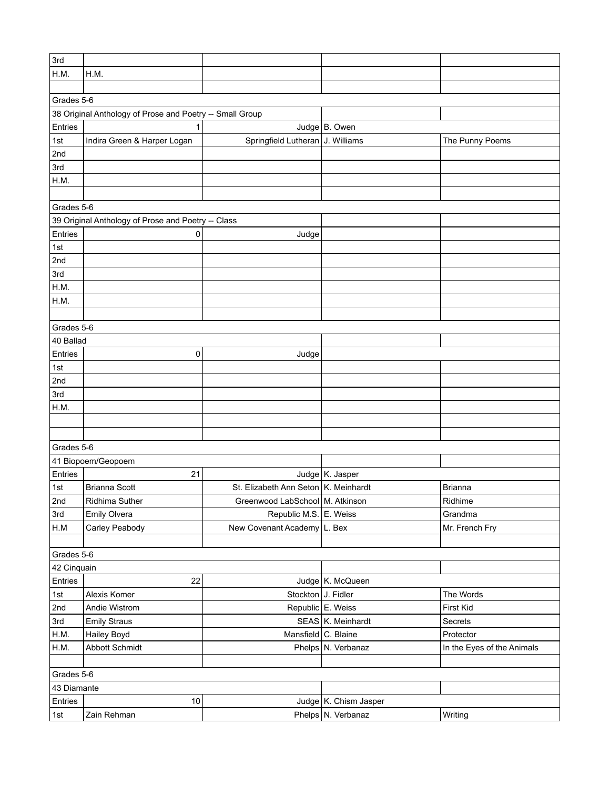| 3rd         |                                                          |                                      |                       |                            |
|-------------|----------------------------------------------------------|--------------------------------------|-----------------------|----------------------------|
| H.M.        | H.M.                                                     |                                      |                       |                            |
|             |                                                          |                                      |                       |                            |
| Grades 5-6  |                                                          |                                      |                       |                            |
|             | 38 Original Anthology of Prose and Poetry -- Small Group |                                      |                       |                            |
| Entries     | 1                                                        |                                      | Judge B. Owen         |                            |
| 1st         | Indira Green & Harper Logan                              | Springfield Lutheran J. Williams     |                       | The Punny Poems            |
| 2nd         |                                                          |                                      |                       |                            |
| 3rd         |                                                          |                                      |                       |                            |
| H.M.        |                                                          |                                      |                       |                            |
|             |                                                          |                                      |                       |                            |
| Grades 5-6  |                                                          |                                      |                       |                            |
|             | 39 Original Anthology of Prose and Poetry -- Class       |                                      |                       |                            |
| Entries     | 0                                                        | Judge                                |                       |                            |
| 1st         |                                                          |                                      |                       |                            |
| 2nd         |                                                          |                                      |                       |                            |
| 3rd         |                                                          |                                      |                       |                            |
| H.M.        |                                                          |                                      |                       |                            |
| H.M.        |                                                          |                                      |                       |                            |
|             |                                                          |                                      |                       |                            |
| Grades 5-6  |                                                          |                                      |                       |                            |
| 40 Ballad   |                                                          |                                      |                       |                            |
| Entries     | 0                                                        | Judge                                |                       |                            |
| 1st         |                                                          |                                      |                       |                            |
| 2nd         |                                                          |                                      |                       |                            |
| 3rd         |                                                          |                                      |                       |                            |
| H.M.        |                                                          |                                      |                       |                            |
|             |                                                          |                                      |                       |                            |
|             |                                                          |                                      |                       |                            |
| Grades 5-6  |                                                          |                                      |                       |                            |
|             | 41 Biopoem/Geopoem                                       |                                      |                       |                            |
| Entries     | 21                                                       |                                      | Judge K. Jasper       |                            |
| 1st         | <b>Brianna Scott</b>                                     | St. Elizabeth Ann Seton K. Meinhardt |                       | <b>Brianna</b>             |
| 2nd         | Ridhima Suther                                           | Greenwood LabSchool   M. Atkinson    |                       | Ridhime                    |
| 3rd         | Emily Olvera                                             | Republic M.S. E. Weiss               |                       | Grandma                    |
| H.M         | Carley Peabody                                           | New Covenant Academy L. Bex          |                       | Mr. French Fry             |
|             |                                                          |                                      |                       |                            |
| Grades 5-6  |                                                          |                                      |                       |                            |
| 42 Cinquain |                                                          |                                      |                       |                            |
| Entries     | 22                                                       |                                      | Judge K. McQueen      |                            |
| 1st         | Alexis Komer                                             | Stockton J. Fidler                   |                       | The Words                  |
| 2nd         | Andie Wistrom                                            |                                      | Republic E. Weiss     | First Kid                  |
| 3rd         | <b>Emily Straus</b>                                      |                                      | SEAS K. Meinhardt     | Secrets                    |
| H.M.        | Hailey Boyd                                              | Mansfield C. Blaine                  |                       | Protector                  |
| H.M.        | Abbott Schmidt                                           |                                      | Phelps N. Verbanaz    | In the Eyes of the Animals |
|             |                                                          |                                      |                       |                            |
| Grades 5-6  |                                                          |                                      |                       |                            |
| 43 Diamante |                                                          |                                      |                       |                            |
| Entries     | 10                                                       |                                      | Judge K. Chism Jasper |                            |
| 1st         | Zain Rehman                                              |                                      | Phelps N. Verbanaz    | Writing                    |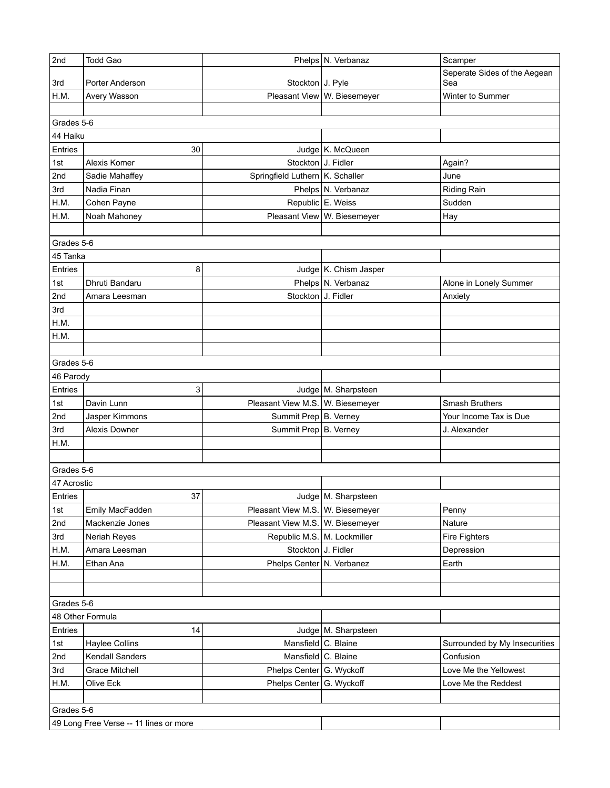| 2nd         | <b>Todd Gao</b>                        |                                  | Phelps N. Verbanaz          | Scamper                             |
|-------------|----------------------------------------|----------------------------------|-----------------------------|-------------------------------------|
| 3rd         | Porter Anderson                        | Stockton J. Pyle                 |                             | Seperate Sides of the Aegean<br>Sea |
| H.M.        | Avery Wasson                           |                                  | Pleasant View W. Biesemeyer | Winter to Summer                    |
|             |                                        |                                  |                             |                                     |
| Grades 5-6  |                                        |                                  |                             |                                     |
| 44 Haiku    |                                        |                                  |                             |                                     |
| Entries     | 30                                     |                                  | Judge   K. McQueen          |                                     |
| 1st         | Alexis Komer                           | Stockton J. Fidler               |                             | Again?                              |
| 2nd         | Sadie Mahaffey                         | Springfield Luthern K. Schaller  |                             | June                                |
| 3rd         | Nadia Finan                            |                                  | Phelps N. Verbanaz          | <b>Riding Rain</b>                  |
| H.M.        | Cohen Payne                            |                                  | Republic E. Weiss           | Sudden                              |
| H.M.        | Noah Mahoney                           |                                  | Pleasant View W. Biesemeyer | Hay                                 |
|             |                                        |                                  |                             |                                     |
| Grades 5-6  |                                        |                                  |                             |                                     |
| 45 Tanka    |                                        |                                  |                             |                                     |
| Entries     | 8                                      |                                  | Judge K. Chism Jasper       |                                     |
| 1st         | Dhruti Bandaru                         |                                  | Phelps N. Verbanaz          | Alone in Lonely Summer              |
| 2nd         | Amara Leesman                          | Stockton J. Fidler               |                             | Anxiety                             |
| 3rd         |                                        |                                  |                             |                                     |
| H.M.        |                                        |                                  |                             |                                     |
| H.M.        |                                        |                                  |                             |                                     |
|             |                                        |                                  |                             |                                     |
| Grades 5-6  |                                        |                                  |                             |                                     |
| 46 Parody   |                                        |                                  |                             |                                     |
| Entries     | 3                                      |                                  | Judge   M. Sharpsteen       |                                     |
| 1st         | Davin Lunn                             | Pleasant View M.S. W. Biesemeyer |                             | Smash Bruthers                      |
| 2nd         | Jasper Kimmons                         | Summit Prep   B. Verney          |                             | Your Income Tax is Due              |
| 3rd         | <b>Alexis Downer</b>                   | Summit Prep B. Verney            |                             | J. Alexander                        |
| H.M.        |                                        |                                  |                             |                                     |
|             |                                        |                                  |                             |                                     |
| Grades 5-6  |                                        |                                  |                             |                                     |
| 47 Acrostic |                                        |                                  |                             |                                     |
| Entries     | 37                                     |                                  | Judge   M. Sharpsteen       |                                     |
| 1st         | Emily MacFadden                        | Pleasant View M.S. W. Biesemeyer |                             | Penny                               |
| 2nd         | Mackenzie Jones                        | Pleasant View M.S. W. Biesemeyer |                             | Nature                              |
| 3rd         | Neriah Reyes                           | Republic M.S.   M. Lockmiller    |                             | Fire Fighters                       |
| H.M.        | Amara Leesman                          | Stockton J. Fidler               |                             | Depression                          |
| H.M.        | Ethan Ana                              | Phelps Center   N. Verbanez      |                             | Earth                               |
|             |                                        |                                  |                             |                                     |
|             |                                        |                                  |                             |                                     |
| Grades 5-6  |                                        |                                  |                             |                                     |
|             | 48 Other Formula                       |                                  |                             |                                     |
| Entries     | 14                                     |                                  | Judge   M. Sharpsteen       |                                     |
| 1st         | <b>Haylee Collins</b>                  | Mansfield C. Blaine              |                             | Surrounded by My Insecurities       |
| 2nd         | Kendall Sanders                        | Mansfield C. Blaine              |                             | Confusion                           |
| 3rd         | <b>Grace Mitchell</b>                  | Phelps Center G. Wyckoff         |                             | Love Me the Yellowest               |
| H.M.        | Olive Eck                              | Phelps Center G. Wyckoff         |                             | Love Me the Reddest                 |
|             |                                        |                                  |                             |                                     |
| Grades 5-6  |                                        |                                  |                             |                                     |
|             | 49 Long Free Verse -- 11 lines or more |                                  |                             |                                     |
|             |                                        |                                  |                             |                                     |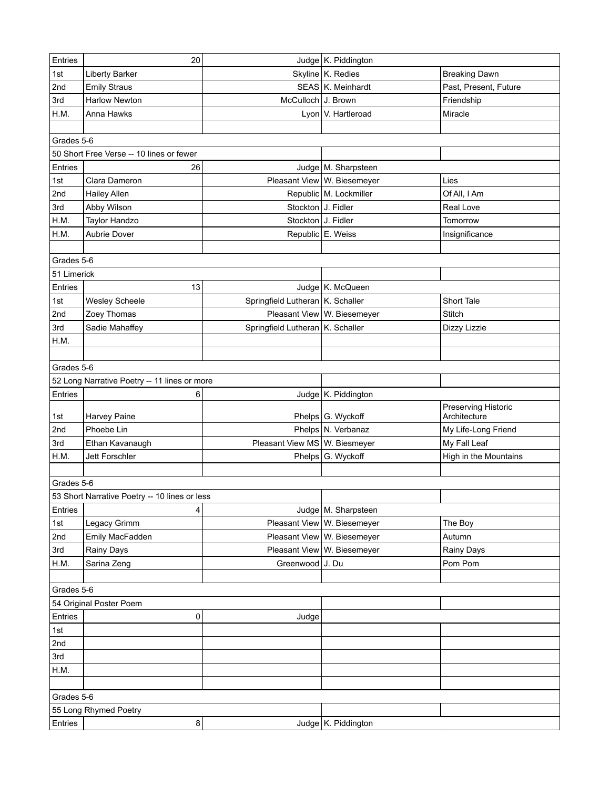| Entries     | 20                                            |                                    | Judge K. Piddington         |                       |
|-------------|-----------------------------------------------|------------------------------------|-----------------------------|-----------------------|
| 1st         | <b>Liberty Barker</b>                         |                                    | Skyline K. Redies           | <b>Breaking Dawn</b>  |
| 2nd         | <b>Emily Straus</b>                           |                                    | SEAS K. Meinhardt           | Past, Present, Future |
| 3rd         | <b>Harlow Newton</b>                          | McCulloch J. Brown                 |                             | Friendship            |
| H.M.        | Anna Hawks                                    |                                    | Lyon   V. Hartleroad        | Miracle               |
|             |                                               |                                    |                             |                       |
| Grades 5-6  |                                               |                                    |                             |                       |
|             | 50 Short Free Verse -- 10 lines or fewer      |                                    |                             |                       |
| Entries     | 26                                            |                                    | Judge   M. Sharpsteen       |                       |
| 1st         | Clara Dameron                                 |                                    | Pleasant View W. Biesemeyer | Lies                  |
| 2nd         | <b>Hailey Allen</b>                           |                                    | Republic M. Lockmiller      | Of All, I Am          |
| 3rd         | Abby Wilson                                   | Stockton J. Fidler                 |                             | Real Love             |
| H.M.        | Taylor Handzo                                 | Stockton J. Fidler                 |                             | Tomorrow              |
| H.M.        | Aubrie Dover                                  |                                    | Republic E. Weiss           | Insignificance        |
|             |                                               |                                    |                             |                       |
| Grades 5-6  |                                               |                                    |                             |                       |
| 51 Limerick |                                               |                                    |                             |                       |
| Entries     | 13                                            |                                    | Judge   K. McQueen          |                       |
| 1st         | Wesley Scheele                                | Springfield Lutheran K. Schaller   |                             | Short Tale            |
| 2nd         | Zoey Thomas                                   |                                    | Pleasant View W. Biesemeyer | Stitch                |
| 3rd         | Sadie Mahaffey                                | Springfield Lutheran   K. Schaller |                             | Dizzy Lizzie          |
| H.M.        |                                               |                                    |                             |                       |
|             |                                               |                                    |                             |                       |
| Grades 5-6  |                                               |                                    |                             |                       |
|             |                                               |                                    |                             |                       |
|             | 52 Long Narrative Poetry -- 11 lines or more  |                                    |                             |                       |
| Entries     | 6                                             |                                    | Judge   K. Piddington       | Preserving Historic   |
| 1st         | Harvey Paine                                  |                                    | Phelps G. Wyckoff           | Architecture          |
| 2nd         | Phoebe Lin                                    |                                    | Phelps N. Verbanaz          | My Life-Long Friend   |
| 3rd         | Ethan Kavanaugh                               | Pleasant View MS W. Biesmeyer      |                             | My Fall Leaf          |
| H.M.        | Jett Forschler                                |                                    | Phelps G. Wyckoff           | High in the Mountains |
|             |                                               |                                    |                             |                       |
| Grades 5-6  |                                               |                                    |                             |                       |
|             | 53 Short Narrative Poetry -- 10 lines or less |                                    |                             |                       |
| Entries     | 4                                             |                                    | Judge   M. Sharpsteen       |                       |
| 1st         | Legacy Grimm                                  |                                    | Pleasant View W. Biesemeyer | The Boy               |
| 2nd         | Emily MacFadden                               |                                    | Pleasant View W. Biesemeyer | Autumn                |
| 3rd         | Rainy Days                                    |                                    | Pleasant View W. Biesemeyer | Rainy Days            |
| H.M.        | Sarina Zeng                                   | Greenwood J. Du                    |                             | Pom Pom               |
|             |                                               |                                    |                             |                       |
| Grades 5-6  |                                               |                                    |                             |                       |
|             | 54 Original Poster Poem                       |                                    |                             |                       |
| Entries     | 0                                             | Judge                              |                             |                       |
| 1st         |                                               |                                    |                             |                       |
| 2nd         |                                               |                                    |                             |                       |
| 3rd         |                                               |                                    |                             |                       |
| H.M.        |                                               |                                    |                             |                       |
|             |                                               |                                    |                             |                       |
| Grades 5-6  |                                               |                                    |                             |                       |
|             | 55 Long Rhymed Poetry                         |                                    |                             |                       |
| Entries     | 8 <sup>1</sup>                                |                                    | Judge K. Piddington         |                       |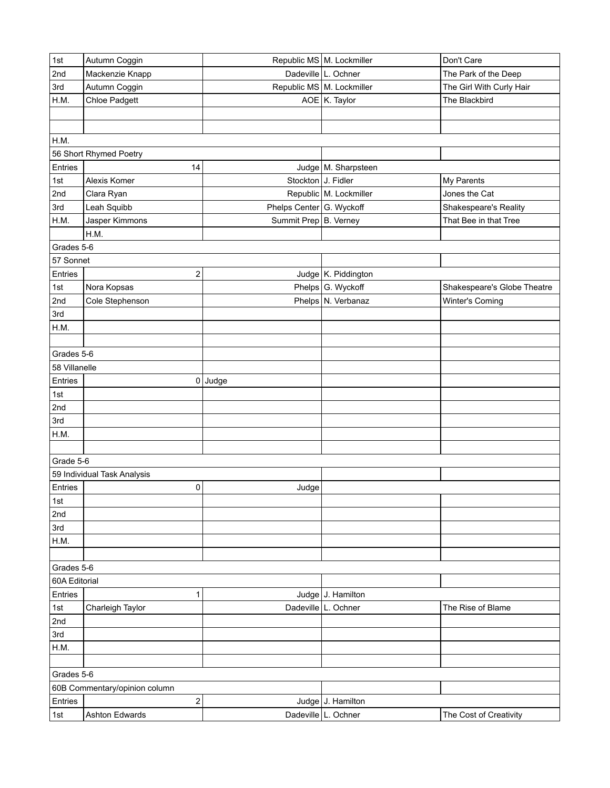| 1st           | Autumn Coggin                 |                          | Republic MS M. Lockmiller | Don't Care                  |
|---------------|-------------------------------|--------------------------|---------------------------|-----------------------------|
| 2nd           | Mackenzie Knapp               |                          | Dadeville L. Ochner       | The Park of the Deep        |
| 3rd           | Autumn Coggin                 |                          | Republic MS M. Lockmiller | The Girl With Curly Hair    |
| H.M.          | Chloe Padgett                 |                          | AOE K. Taylor             | The Blackbird               |
|               |                               |                          |                           |                             |
|               |                               |                          |                           |                             |
| H.M.          |                               |                          |                           |                             |
|               | 56 Short Rhymed Poetry        |                          |                           |                             |
| Entries       | 14                            |                          | Judge   M. Sharpsteen     |                             |
| 1st           | Alexis Komer                  | Stockton J. Fidler       |                           | My Parents                  |
| 2nd           | Clara Ryan                    |                          | Republic M. Lockmiller    | Jones the Cat               |
| 3rd           | Leah Squibb                   | Phelps Center G. Wyckoff |                           | Shakespeare's Reality       |
| H.M.          | Jasper Kimmons                | Summit Prep B. Verney    |                           | That Bee in that Tree       |
|               | H.M.                          |                          |                           |                             |
| Grades 5-6    |                               |                          |                           |                             |
| 57 Sonnet     |                               |                          |                           |                             |
| Entries       | 2                             |                          | Judge   K. Piddington     |                             |
| 1st           | Nora Kopsas                   |                          | Phelps G. Wyckoff         | Shakespeare's Globe Theatre |
| 2nd           | Cole Stephenson               |                          | Phelps N. Verbanaz        | Winter's Coming             |
| 3rd           |                               |                          |                           |                             |
| H.M.          |                               |                          |                           |                             |
|               |                               |                          |                           |                             |
| Grades 5-6    |                               |                          |                           |                             |
| 58 Villanelle |                               |                          |                           |                             |
|               |                               |                          |                           |                             |
| Entries       | $\mathsf 0$                   | Judge                    |                           |                             |
| 1st           |                               |                          |                           |                             |
| 2nd           |                               |                          |                           |                             |
| 3rd           |                               |                          |                           |                             |
| H.M.          |                               |                          |                           |                             |
|               |                               |                          |                           |                             |
| Grade 5-6     |                               |                          |                           |                             |
|               | 59 Individual Task Analysis   |                          |                           |                             |
| Entries       | 0                             | Judge                    |                           |                             |
| 1st           |                               |                          |                           |                             |
| 2nd           |                               |                          |                           |                             |
| 3rd           |                               |                          |                           |                             |
| H.M.          |                               |                          |                           |                             |
|               |                               |                          |                           |                             |
| Grades 5-6    |                               |                          |                           |                             |
| 60A Editorial |                               |                          |                           |                             |
| Entries       | 1                             |                          | Judge J. Hamilton         |                             |
| 1st           | Charleigh Taylor              |                          | Dadeville L. Ochner       | The Rise of Blame           |
| 2nd           |                               |                          |                           |                             |
| 3rd           |                               |                          |                           |                             |
| H.M.          |                               |                          |                           |                             |
|               |                               |                          |                           |                             |
| Grades 5-6    |                               |                          |                           |                             |
|               | 60B Commentary/opinion column |                          |                           |                             |
| Entries       | $\overline{\mathbf{c}}$       |                          | Judge J. Hamilton         |                             |
| 1st           | Ashton Edwards                |                          | Dadeville L. Ochner       | The Cost of Creativity      |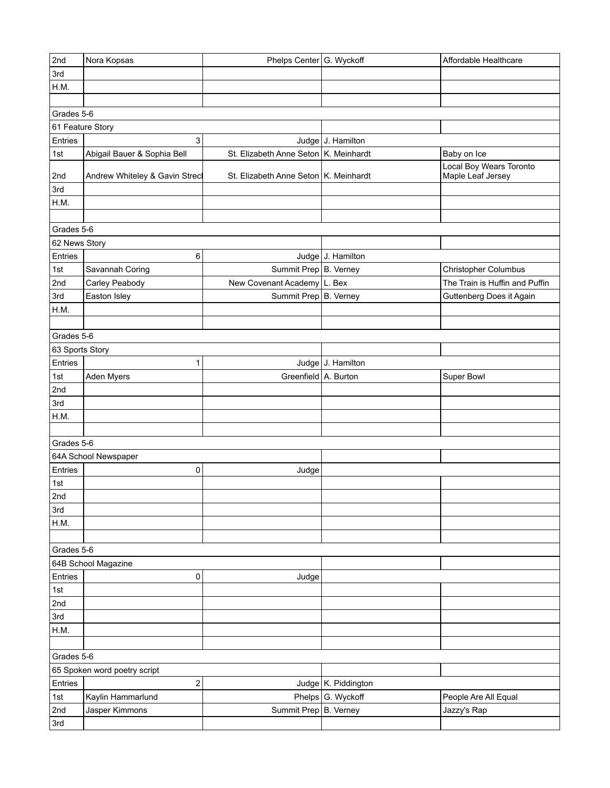| 2nd                          | Nora Kopsas                    | Phelps Center G. Wyckoff              |                     | Affordable Healthcare                        |
|------------------------------|--------------------------------|---------------------------------------|---------------------|----------------------------------------------|
| 3rd                          |                                |                                       |                     |                                              |
| H.M.                         |                                |                                       |                     |                                              |
|                              |                                |                                       |                     |                                              |
| Grades 5-6                   |                                |                                       |                     |                                              |
| 61 Feature Story             |                                |                                       |                     |                                              |
| Entries                      | 3                              |                                       | Judge J. Hamilton   |                                              |
| 1st                          | Abigail Bauer & Sophia Bell    | St. Elizabeth Anne Seton K. Meinhardt |                     | Baby on Ice                                  |
| 2nd                          | Andrew Whiteley & Gavin Streck | St. Elizabeth Anne Seton K. Meinhardt |                     | Local Boy Wears Toronto<br>Maple Leaf Jersey |
| 3rd                          |                                |                                       |                     |                                              |
| H.M.                         |                                |                                       |                     |                                              |
|                              |                                |                                       |                     |                                              |
| Grades 5-6                   |                                |                                       |                     |                                              |
| 62 News Story                |                                |                                       |                     |                                              |
| Entries                      | 6                              |                                       | Judge J. Hamilton   |                                              |
| 1st                          | Savannah Coring                | Summit Prep B. Verney                 |                     | Christopher Columbus                         |
| 2nd                          | Carley Peabody                 | New Covenant Academy L. Bex           |                     | The Train is Huffin and Puffin               |
| 3rd                          | Easton Isley                   | Summit Prep B. Verney                 |                     | Guttenberg Does it Again                     |
| H.M.                         |                                |                                       |                     |                                              |
|                              |                                |                                       |                     |                                              |
| Grades 5-6                   |                                |                                       |                     |                                              |
| 63 Sports Story              |                                |                                       |                     |                                              |
| Entries                      | 1                              |                                       | Judge J. Hamilton   |                                              |
| 1st                          | Aden Myers                     | Greenfield A. Burton                  |                     | Super Bowl                                   |
| 2nd                          |                                |                                       |                     |                                              |
| 3rd                          |                                |                                       |                     |                                              |
| H.M.                         |                                |                                       |                     |                                              |
|                              |                                |                                       |                     |                                              |
| Grades 5-6                   |                                |                                       |                     |                                              |
|                              | 64A School Newspaper           |                                       |                     |                                              |
| Entries                      | 0                              | Judge                                 |                     |                                              |
| 1st                          |                                |                                       |                     |                                              |
| 2nd                          |                                |                                       |                     |                                              |
| 3rd                          |                                |                                       |                     |                                              |
| H.M.                         |                                |                                       |                     |                                              |
|                              |                                |                                       |                     |                                              |
| Grades 5-6                   |                                |                                       |                     |                                              |
|                              | 64B School Magazine            |                                       |                     |                                              |
| Entries                      | 0                              | Judge                                 |                     |                                              |
| 1st                          |                                |                                       |                     |                                              |
| 2nd                          |                                |                                       |                     |                                              |
| 3rd                          |                                |                                       |                     |                                              |
| H.M.                         |                                |                                       |                     |                                              |
|                              |                                |                                       |                     |                                              |
| Grades 5-6                   |                                |                                       |                     |                                              |
| 65 Spoken word poetry script |                                |                                       |                     |                                              |
| Entries                      | 2                              |                                       | Judge K. Piddington |                                              |
| 1st                          | Kaylin Hammarlund              |                                       | Phelps G. Wyckoff   | People Are All Equal                         |
| 2nd                          | Jasper Kimmons                 | Summit Prep B. Verney                 |                     | Jazzy's Rap                                  |
|                              |                                |                                       |                     |                                              |
| 3rd                          |                                |                                       |                     |                                              |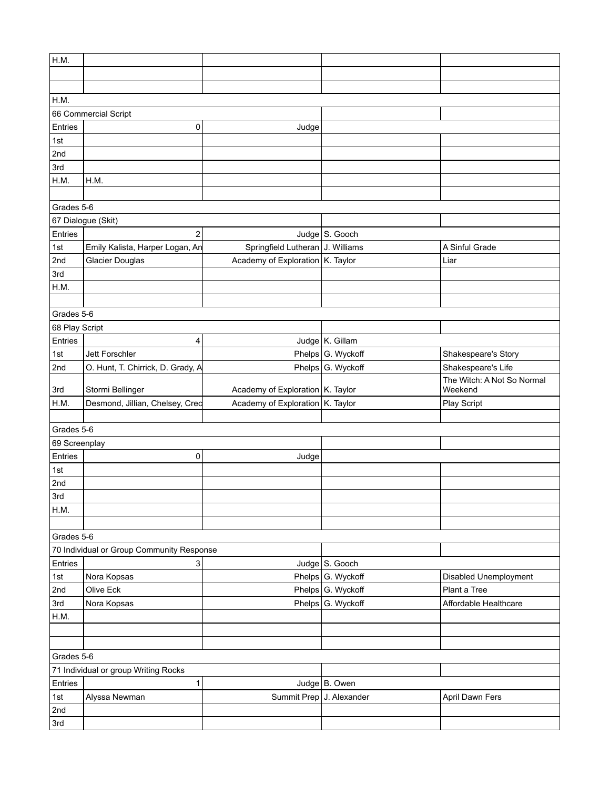| H.M.                                 |                                           |                                    |                   |                            |  |  |  |
|--------------------------------------|-------------------------------------------|------------------------------------|-------------------|----------------------------|--|--|--|
|                                      |                                           |                                    |                   |                            |  |  |  |
|                                      |                                           |                                    |                   |                            |  |  |  |
| H.M.                                 |                                           |                                    |                   |                            |  |  |  |
|                                      | 66 Commercial Script                      |                                    |                   |                            |  |  |  |
| Entries                              | 0                                         | Judge                              |                   |                            |  |  |  |
| 1st                                  |                                           |                                    |                   |                            |  |  |  |
| 2nd                                  |                                           |                                    |                   |                            |  |  |  |
| 3rd                                  |                                           |                                    |                   |                            |  |  |  |
| H.M.                                 | H.M.                                      |                                    |                   |                            |  |  |  |
|                                      |                                           |                                    |                   |                            |  |  |  |
| Grades 5-6                           |                                           |                                    |                   |                            |  |  |  |
|                                      | 67 Dialogue (Skit)                        |                                    |                   |                            |  |  |  |
| Entries                              | $\overline{2}$                            |                                    | Judge S. Gooch    |                            |  |  |  |
| 1st                                  | Emily Kalista, Harper Logan, An           | Springfield Lutheran J. Williams   |                   | A Sinful Grade             |  |  |  |
| 2nd                                  | <b>Glacier Douglas</b>                    | Academy of Exploration   K. Taylor |                   | Liar                       |  |  |  |
| 3rd                                  |                                           |                                    |                   |                            |  |  |  |
| H.M.                                 |                                           |                                    |                   |                            |  |  |  |
|                                      |                                           |                                    |                   |                            |  |  |  |
| Grades 5-6                           |                                           |                                    |                   |                            |  |  |  |
| 68 Play Script                       |                                           |                                    |                   |                            |  |  |  |
| Entries                              | 4                                         |                                    | Judge K. Gillam   |                            |  |  |  |
| 1st                                  | Jett Forschler                            |                                    | Phelps G. Wyckoff | Shakespeare's Story        |  |  |  |
| 2nd                                  | O. Hunt, T. Chirrick, D. Grady, A         |                                    | Phelps G. Wyckoff | Shakespeare's Life         |  |  |  |
|                                      |                                           |                                    |                   | The Witch: A Not So Normal |  |  |  |
| 3rd                                  | Stormi Bellinger                          | Academy of Exploration K. Taylor   |                   | Weekend                    |  |  |  |
| H.M.                                 | Desmond, Jillian, Chelsey, Crec           | Academy of Exploration K. Taylor   |                   | Play Script                |  |  |  |
|                                      |                                           |                                    |                   |                            |  |  |  |
| Grades 5-6                           |                                           |                                    |                   |                            |  |  |  |
| 69 Screenplay                        |                                           |                                    |                   |                            |  |  |  |
| Entries                              | 0                                         | Judge                              |                   |                            |  |  |  |
| 1st                                  |                                           |                                    |                   |                            |  |  |  |
| 2nd                                  |                                           |                                    |                   |                            |  |  |  |
| 3rd                                  |                                           |                                    |                   |                            |  |  |  |
| H.M.                                 |                                           |                                    |                   |                            |  |  |  |
|                                      |                                           |                                    |                   |                            |  |  |  |
| Grades 5-6                           |                                           |                                    |                   |                            |  |  |  |
|                                      | 70 Individual or Group Community Response |                                    |                   |                            |  |  |  |
| Entries                              | 3                                         |                                    | Judge S. Gooch    |                            |  |  |  |
| 1st                                  | Nora Kopsas                               |                                    | Phelps G. Wyckoff | Disabled Unemployment      |  |  |  |
| 2nd                                  | Olive Eck                                 |                                    | Phelps G. Wyckoff | Plant a Tree               |  |  |  |
| 3rd                                  | Nora Kopsas                               |                                    | Phelps G. Wyckoff | Affordable Healthcare      |  |  |  |
| H.M.                                 |                                           |                                    |                   |                            |  |  |  |
|                                      |                                           |                                    |                   |                            |  |  |  |
|                                      |                                           |                                    |                   |                            |  |  |  |
| Grades 5-6                           |                                           |                                    |                   |                            |  |  |  |
| 71 Individual or group Writing Rocks |                                           |                                    |                   |                            |  |  |  |
| Entries                              | 1                                         |                                    | Judge B. Owen     |                            |  |  |  |
| 1st                                  | Alyssa Newman                             | Summit Prep J. Alexander           |                   | April Dawn Fers            |  |  |  |
| 2nd                                  |                                           |                                    |                   |                            |  |  |  |
| 3rd                                  |                                           |                                    |                   |                            |  |  |  |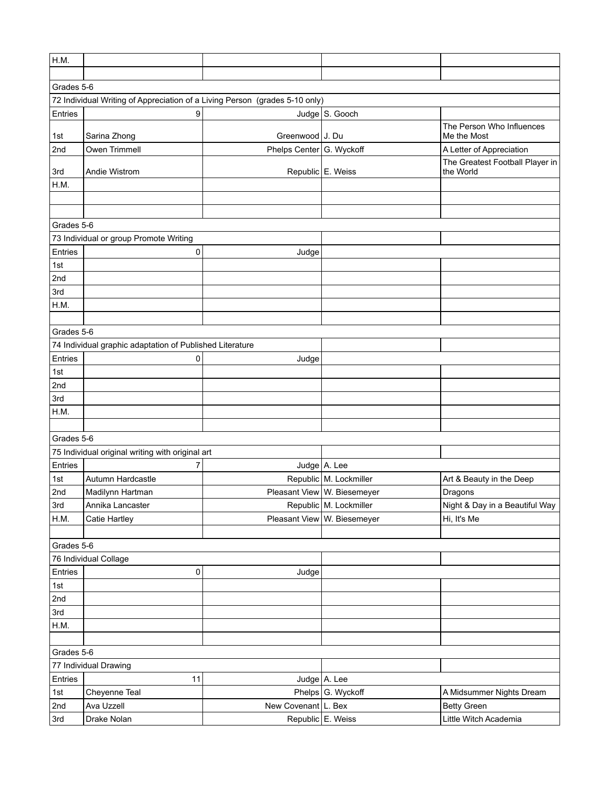| H.M.                  |                                                                             |                          |                             |                                              |  |  |  |
|-----------------------|-----------------------------------------------------------------------------|--------------------------|-----------------------------|----------------------------------------------|--|--|--|
|                       |                                                                             |                          |                             |                                              |  |  |  |
| Grades 5-6            |                                                                             |                          |                             |                                              |  |  |  |
|                       | 72 Individual Writing of Appreciation of a Living Person (grades 5-10 only) |                          |                             |                                              |  |  |  |
| Entries               | 9                                                                           |                          | Judge S. Gooch              |                                              |  |  |  |
| 1st                   | Sarina Zhong                                                                | Greenwood J. Du          |                             | The Person Who Influences<br>Me the Most     |  |  |  |
| 2nd                   | Owen Trimmell                                                               | Phelps Center G. Wyckoff |                             | A Letter of Appreciation                     |  |  |  |
| 3rd                   | Andie Wistrom                                                               |                          | Republic E. Weiss           | The Greatest Football Player in<br>the World |  |  |  |
| H.M.                  |                                                                             |                          |                             |                                              |  |  |  |
|                       |                                                                             |                          |                             |                                              |  |  |  |
|                       |                                                                             |                          |                             |                                              |  |  |  |
| Grades 5-6            |                                                                             |                          |                             |                                              |  |  |  |
|                       | 73 Individual or group Promote Writing                                      |                          |                             |                                              |  |  |  |
| Entries               | 0                                                                           | Judge                    |                             |                                              |  |  |  |
| 1st                   |                                                                             |                          |                             |                                              |  |  |  |
| 2nd                   |                                                                             |                          |                             |                                              |  |  |  |
| 3rd                   |                                                                             |                          |                             |                                              |  |  |  |
| H.M.                  |                                                                             |                          |                             |                                              |  |  |  |
|                       |                                                                             |                          |                             |                                              |  |  |  |
| Grades 5-6            |                                                                             |                          |                             |                                              |  |  |  |
|                       | 74 Individual graphic adaptation of Published Literature                    |                          |                             |                                              |  |  |  |
| Entries               | 0                                                                           | Judge                    |                             |                                              |  |  |  |
| 1st                   |                                                                             |                          |                             |                                              |  |  |  |
| 2nd                   |                                                                             |                          |                             |                                              |  |  |  |
| 3rd                   |                                                                             |                          |                             |                                              |  |  |  |
| H.M.                  |                                                                             |                          |                             |                                              |  |  |  |
|                       |                                                                             |                          |                             |                                              |  |  |  |
| Grades 5-6            |                                                                             |                          |                             |                                              |  |  |  |
|                       | 75 Individual original writing with original art                            |                          |                             |                                              |  |  |  |
| Entries               | 7                                                                           |                          | Judge A. Lee                |                                              |  |  |  |
| 1st                   | Autumn Hardcastle                                                           |                          | Republic M. Lockmiller      | Art & Beauty in the Deep                     |  |  |  |
| 2nd                   | Madilynn Hartman                                                            |                          | Pleasant View W. Biesemeyer | Dragons                                      |  |  |  |
| 3rd                   | Annika Lancaster                                                            |                          | Republic M. Lockmiller      | Night & Day in a Beautiful Way               |  |  |  |
| H.M.                  | Catie Hartley                                                               |                          | Pleasant View W. Biesemeyer | Hi, It's Me                                  |  |  |  |
|                       |                                                                             |                          |                             |                                              |  |  |  |
| Grades 5-6            |                                                                             |                          |                             |                                              |  |  |  |
| 76 Individual Collage |                                                                             |                          |                             |                                              |  |  |  |
| Entries               | 0                                                                           | Judge                    |                             |                                              |  |  |  |
| 1st                   |                                                                             |                          |                             |                                              |  |  |  |
| 2nd                   |                                                                             |                          |                             |                                              |  |  |  |
| 3rd                   |                                                                             |                          |                             |                                              |  |  |  |
| H.M.                  |                                                                             |                          |                             |                                              |  |  |  |
|                       |                                                                             |                          |                             |                                              |  |  |  |
| Grades 5-6            |                                                                             |                          |                             |                                              |  |  |  |
| 77 Individual Drawing |                                                                             |                          |                             |                                              |  |  |  |
| Entries               | 11                                                                          |                          | Judge $A$ . Lee             |                                              |  |  |  |
| 1st                   | Cheyenne Teal                                                               |                          | Phelps G. Wyckoff           | A Midsummer Nights Dream                     |  |  |  |
| 2nd                   | Ava Uzzell                                                                  | New Covenant L. Bex      |                             | <b>Betty Green</b>                           |  |  |  |
| 3rd                   | Drake Nolan                                                                 |                          | Republic E. Weiss           | Little Witch Academia                        |  |  |  |